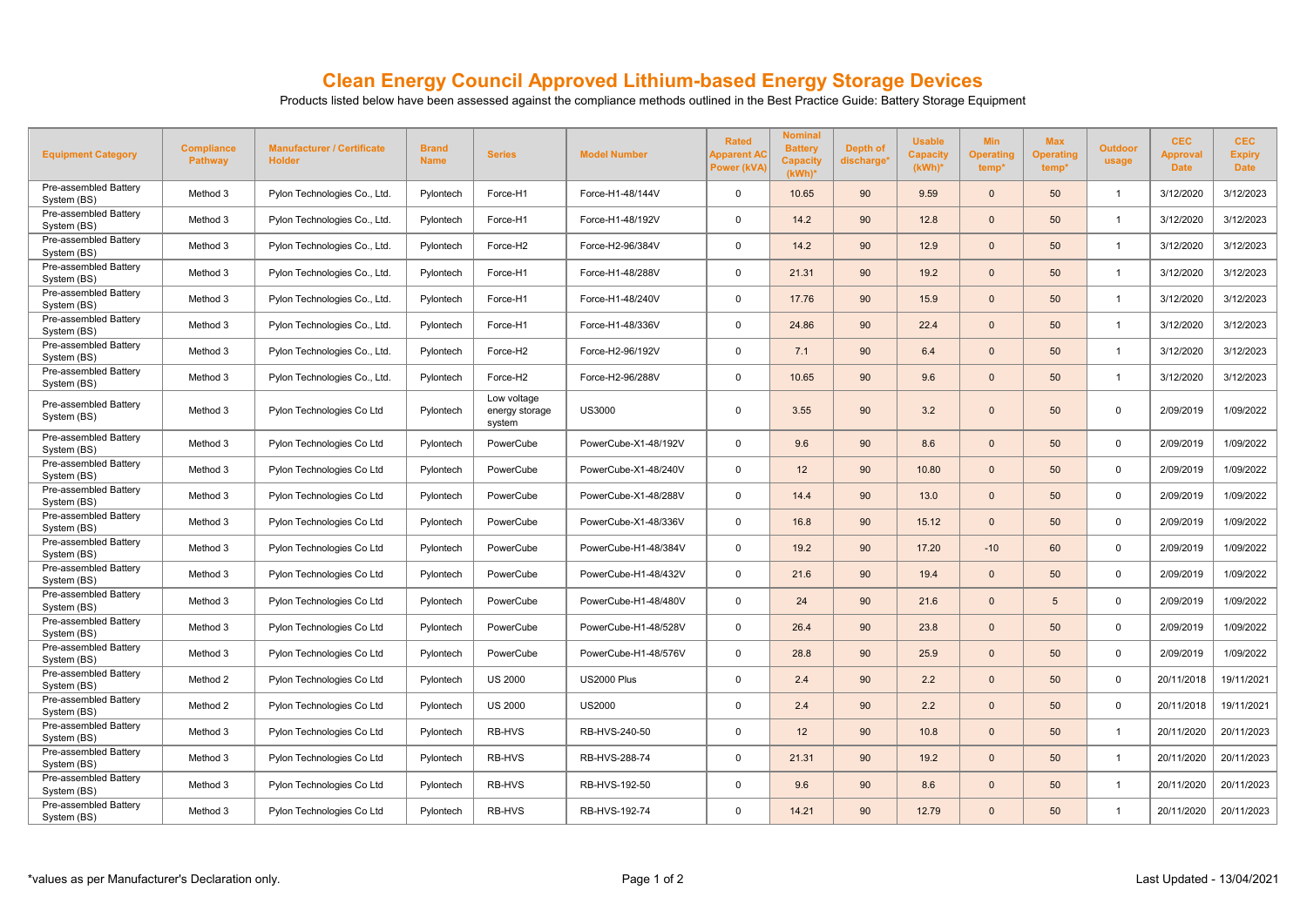## **Clean Energy Council Approved Lithium-based Energy Storage Devices**

Products listed below have been assessed against the compliance methods outlined in the Best Practice Guide: Battery Storage Equipment

| <b>Equipment Category</b>            | <b>Compliance</b><br><b>Pathway</b> | <b>Manufacturer / Certificate</b><br><b>Holder</b> | <b>Brand</b><br><b>Name</b> | <b>Series</b>                           | <b>Model Number</b>  | <b>Rated</b><br>Apparent AC<br><b>Power (kVA)</b> | <b>Nominal</b><br><b>Battery</b><br><b>Capacity</b><br>$(kWh)^*$ | Depth of<br>discharge <sup>®</sup> | <b>Usable</b><br><b>Capacity</b><br>$(kWh)^*$ | <b>Min</b><br><b>Operating</b><br>temp <sup>*</sup> | <b>Max</b><br><b>Operating</b><br>temp* | <b>Outdoor</b><br>usage | <b>CEC</b><br><b>Approval</b><br><b>Date</b> | <b>CEC</b><br><b>Expiry</b><br><b>Date</b> |
|--------------------------------------|-------------------------------------|----------------------------------------------------|-----------------------------|-----------------------------------------|----------------------|---------------------------------------------------|------------------------------------------------------------------|------------------------------------|-----------------------------------------------|-----------------------------------------------------|-----------------------------------------|-------------------------|----------------------------------------------|--------------------------------------------|
| Pre-assembled Battery<br>System (BS) | Method 3                            | Pylon Technologies Co., Ltd.                       | Pylontech                   | Force-H1                                | Force-H1-48/144V     | $\mathbf 0$                                       | 10.65                                                            | 90                                 | 9.59                                          | $\Omega$                                            | 50                                      | $\overline{1}$          | 3/12/2020                                    | 3/12/2023                                  |
| Pre-assembled Battery<br>System (BS) | Method 3                            | Pylon Technologies Co., Ltd.                       | Pylontech                   | Force-H1                                | Force-H1-48/192V     | $\mathbf 0$                                       | 14.2                                                             | 90                                 | 12.8                                          | $\Omega$                                            | 50                                      | $\overline{1}$          | 3/12/2020                                    | 3/12/2023                                  |
| Pre-assembled Battery<br>System (BS) | Method 3                            | Pylon Technologies Co., Ltd.                       | Pylontech                   | Force-H <sub>2</sub>                    | Force-H2-96/384V     | $\mathbf{0}$                                      | 14.2                                                             | 90                                 | 12.9                                          | $\Omega$                                            | 50                                      | $\overline{1}$          | 3/12/2020                                    | 3/12/2023                                  |
| Pre-assembled Battery<br>System (BS) | Method 3                            | Pylon Technologies Co., Ltd.                       | Pylontech                   | Force-H1                                | Force-H1-48/288V     | $\mathbf 0$                                       | 21.31                                                            | 90                                 | 19.2                                          | $\Omega$                                            | 50                                      | $\overline{1}$          | 3/12/2020                                    | 3/12/2023                                  |
| Pre-assembled Battery<br>System (BS) | Method 3                            | Pylon Technologies Co., Ltd.                       | Pylontech                   | Force-H1                                | Force-H1-48/240V     | $\mathbf 0$                                       | 17.76                                                            | 90                                 | 15.9                                          | $\Omega$                                            | 50                                      | $\overline{1}$          | 3/12/2020                                    | 3/12/2023                                  |
| Pre-assembled Battery<br>System (BS) | Method 3                            | Pylon Technologies Co., Ltd.                       | Pylontech                   | Force-H1                                | Force-H1-48/336V     | 0                                                 | 24.86                                                            | 90                                 | 22.4                                          | $\Omega$                                            | 50                                      | $\overline{1}$          | 3/12/2020                                    | 3/12/2023                                  |
| Pre-assembled Battery<br>System (BS) | Method 3                            | Pylon Technologies Co., Ltd.                       | Pylontech                   | Force-H2                                | Force-H2-96/192V     | 0                                                 | 7.1                                                              | 90                                 | 6.4                                           | $\Omega$                                            | 50                                      | $\overline{1}$          | 3/12/2020                                    | 3/12/2023                                  |
| Pre-assembled Battery<br>System (BS) | Method 3                            | Pylon Technologies Co., Ltd.                       | Pylontech                   | Force-H2                                | Force-H2-96/288V     | $\mathbf 0$                                       | 10.65                                                            | 90                                 | 9.6                                           | $\Omega$                                            | 50                                      | $\overline{1}$          | 3/12/2020                                    | 3/12/2023                                  |
| Pre-assembled Battery<br>System (BS) | Method 3                            | Pylon Technologies Co Ltd                          | Pylontech                   | Low voltage<br>energy storage<br>system | <b>US3000</b>        | $\mathbf 0$                                       | 3.55                                                             | 90                                 | 3.2                                           | $\Omega$                                            | 50                                      | $\mathbf 0$             | 2/09/2019                                    | 1/09/2022                                  |
| Pre-assembled Battery<br>System (BS) | Method 3                            | Pylon Technologies Co Ltd                          | Pylontech                   | PowerCube                               | PowerCube-X1-48/192V | $\mathbf{0}$                                      | 9.6                                                              | 90                                 | 8.6                                           | $\Omega$                                            | 50                                      | $\mathbf 0$             | 2/09/2019                                    | 1/09/2022                                  |
| Pre-assembled Battery<br>System (BS) | Method 3                            | Pylon Technologies Co Ltd                          | Pylontech                   | PowerCube                               | PowerCube-X1-48/240V | 0                                                 | 12 <sup>2</sup>                                                  | 90                                 | 10.80                                         | $\Omega$                                            | 50                                      | 0                       | 2/09/2019                                    | 1/09/2022                                  |
| Pre-assembled Battery<br>System (BS) | Method 3                            | Pylon Technologies Co Ltd                          | Pylontech                   | PowerCube                               | PowerCube-X1-48/288V | $\mathbf 0$                                       | 14.4                                                             | 90                                 | 13.0                                          | $\Omega$                                            | 50                                      | $\mathbf{0}$            | 2/09/2019                                    | 1/09/2022                                  |
| Pre-assembled Battery<br>System (BS) | Method 3                            | Pylon Technologies Co Ltd                          | Pylontech                   | PowerCube                               | PowerCube-X1-48/336V | $\mathbf 0$                                       | 16.8                                                             | 90                                 | 15.12                                         | $\Omega$                                            | 50                                      | $\mathbf 0$             | 2/09/2019                                    | 1/09/2022                                  |
| Pre-assembled Battery<br>System (BS) | Method 3                            | Pylon Technologies Co Ltd                          | Pylontech                   | PowerCube                               | PowerCube-H1-48/384V | 0                                                 | 19.2                                                             | 90                                 | 17.20                                         | $-10$                                               | 60                                      | 0                       | 2/09/2019                                    | 1/09/2022                                  |
| Pre-assembled Battery<br>System (BS) | Method 3                            | Pylon Technologies Co Ltd                          | Pylontech                   | PowerCube                               | PowerCube-H1-48/432V | 0                                                 | 21.6                                                             | 90                                 | 19.4                                          | $\Omega$                                            | 50                                      | 0                       | 2/09/2019                                    | 1/09/2022                                  |
| Pre-assembled Battery<br>System (BS) | Method 3                            | Pylon Technologies Co Ltd                          | Pylontech                   | PowerCube                               | PowerCube-H1-48/480V | $\mathbf{0}$                                      | 24                                                               | 90                                 | 21.6                                          | $\Omega$                                            | 5                                       | $\mathbf 0$             | 2/09/2019                                    | 1/09/2022                                  |
| Pre-assembled Battery<br>System (BS) | Method 3                            | Pylon Technologies Co Ltd                          | Pylontech                   | PowerCube                               | PowerCube-H1-48/528V | $\mathbf 0$                                       | 26.4                                                             | 90                                 | 23.8                                          | $\Omega$                                            | 50                                      | $\mathbf 0$             | 2/09/2019                                    | 1/09/2022                                  |
| Pre-assembled Battery<br>System (BS) | Method 3                            | Pylon Technologies Co Ltd                          | Pylontech                   | PowerCube                               | PowerCube-H1-48/576V | $\mathbf 0$                                       | 28.8                                                             | 90                                 | 25.9                                          | $\Omega$                                            | 50                                      | $\mathbf 0$             | 2/09/2019                                    | 1/09/2022                                  |
| Pre-assembled Battery<br>System (BS) | Method 2                            | Pylon Technologies Co Ltd                          | Pylontech                   | <b>US 2000</b>                          | <b>US2000 Plus</b>   | 0                                                 | 2.4                                                              | 90                                 | 2.2                                           | $\Omega$                                            | 50                                      | $\mathbf 0$             | 20/11/2018                                   | 19/11/2021                                 |
| Pre-assembled Battery<br>System (BS) | Method 2                            | Pylon Technologies Co Ltd                          | Pylontech                   | <b>US 2000</b>                          | <b>US2000</b>        | $\mathbf{0}$                                      | 2.4                                                              | 90                                 | 2.2                                           | $\Omega$                                            | 50                                      | $\mathbf 0$             | 20/11/2018                                   | 19/11/2021                                 |
| Pre-assembled Battery<br>System (BS) | Method 3                            | Pylon Technologies Co Ltd                          | Pylontech                   | RB-HVS                                  | RB-HVS-240-50        | $\mathbf 0$                                       | 12 <sup>2</sup>                                                  | 90                                 | 10.8                                          | $\Omega$                                            | 50                                      | $\overline{1}$          | 20/11/2020                                   | 20/11/2023                                 |
| Pre-assembled Battery<br>System (BS) | Method 3                            | Pylon Technologies Co Ltd                          | Pylontech                   | RB-HVS                                  | RB-HVS-288-74        | 0                                                 | 21.31                                                            | 90                                 | 19.2                                          | $\Omega$                                            | 50                                      | $\overline{1}$          | 20/11/2020                                   | 20/11/2023                                 |
| Pre-assembled Battery<br>System (BS) | Method 3                            | Pylon Technologies Co Ltd                          | Pylontech                   | RB-HVS                                  | RB-HVS-192-50        | 0                                                 | 9.6                                                              | 90                                 | 8.6                                           | $\Omega$                                            | 50                                      | $\overline{1}$          | 20/11/2020                                   | 20/11/2023                                 |
| Pre-assembled Battery<br>System (BS) | Method 3                            | Pylon Technologies Co Ltd                          | Pylontech                   | RB-HVS                                  | RB-HVS-192-74        | $\mathbf{0}$                                      | 14.21                                                            | 90                                 | 12.79                                         | $\Omega$                                            | 50                                      | -1                      | 20/11/2020                                   | 20/11/2023                                 |